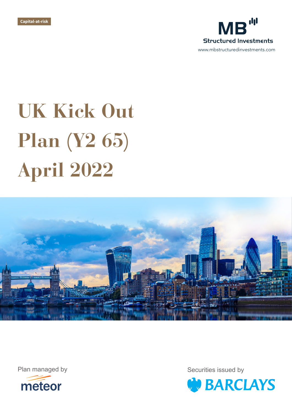



# **UK Kick Out Plan (Y2 65) April 2022**





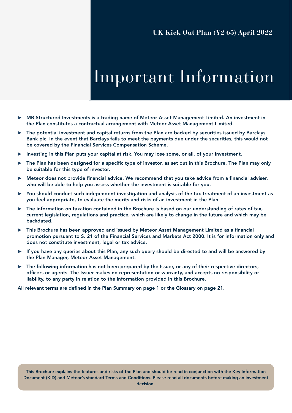## Important Information

- ▶ MB Structured Investments is a trading name of Meteor Asset Management Limited. An investment in the Plan constitutes a contractual arrangement with Meteor Asset Management Limited.
- ▶ The potential investment and capital returns from the Plan are backed by securities issued by Barclays Bank plc. In the event that Barclays fails to meet the payments due under the securities, this would not be covered by the Financial Services Compensation Scheme.
- ▶ Investing in this Plan puts your capital at risk. You may lose some, or all, of your investment.
- ▶ The Plan has been designed for a specific type of investor, as set out in this Brochure. The Plan may only be suitable for this type of investor.
- ▶ Meteor does not provide financial advice. We recommend that you take advice from a financial adviser, who will be able to help you assess whether the investment is suitable for you.
- ▶ You should conduct such independent investigation and analysis of the tax treatment of an investment as you feel appropriate, to evaluate the merits and risks of an investment in the Plan.
- The information on taxation contained in the Brochure is based on our understanding of rates of tax, current legislation, regulations and practice, which are likely to change in the future and which may be backdated.
- ▶ This Brochure has been approved and issued by Meteor Asset Management Limited as a financial promotion pursuant to S. 21 of the Financial Services and Markets Act 2000. It is for information only and does not constitute investment, legal or tax advice.
- $\blacktriangleright$  If you have any queries about this Plan, any such query should be directed to and will be answered by the Plan Manager, Meteor Asset Management.
- $\triangleright$  The following information has not been prepared by the Issuer, or any of their respective directors, officers or agents. The Issuer makes no representation or warranty, and accepts no responsibility or liability, to any party in relation to the information provided in this Brochure.

All relevant terms are defined in the Plan Summary on page 1 or the Glossary on page 21.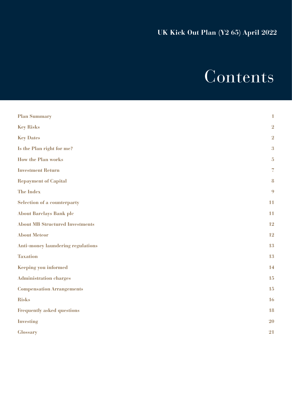# Contents

| <b>Plan Summary</b>                      | $\mathbf{1}$             |
|------------------------------------------|--------------------------|
| <b>Key Risks</b>                         | $\overline{2}$           |
| <b>Key Dates</b>                         | $\overline{2}$           |
| Is the Plan right for me?                | $\overline{\mathbf{3}}$  |
| <b>How the Plan works</b>                | $\overline{5}$           |
| <b>Investment Return</b>                 | $\overline{\mathcal{L}}$ |
| <b>Repayment of Capital</b>              | 8                        |
| <b>The Index</b>                         | 9                        |
| <b>Selection of a counterparty</b>       | 11                       |
| <b>About Barclays Bank plc</b>           | 11                       |
| <b>About MB Structured Investments</b>   | 12                       |
| <b>About Meteor</b>                      | 12                       |
| <b>Anti-money laundering regulations</b> | 13                       |
| <b>Taxation</b>                          | 13                       |
| Keeping you informed                     | 14                       |
| <b>Administration charges</b>            | 15                       |
| <b>Compensation Arrangements</b>         | 15                       |
| <b>Risks</b>                             | 16                       |
| <b>Frequently asked questions</b>        | 18                       |
| <b>Investing</b>                         | <b>20</b>                |
| <b>Glossary</b>                          | 21                       |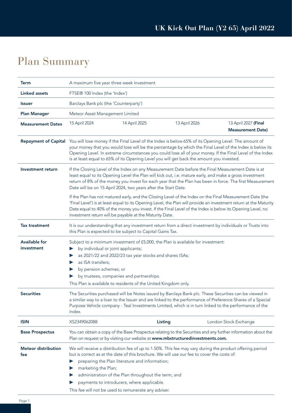### Plan Summary

| <b>Term</b>                        | A maximum five year three week investment                                                                                                                                                                                                |                                                                                                                                                     |               |                                                                                                                                                                                                                                                                                                                                            |
|------------------------------------|------------------------------------------------------------------------------------------------------------------------------------------------------------------------------------------------------------------------------------------|-----------------------------------------------------------------------------------------------------------------------------------------------------|---------------|--------------------------------------------------------------------------------------------------------------------------------------------------------------------------------------------------------------------------------------------------------------------------------------------------------------------------------------------|
| <b>Linked assets</b>               | FTSE® 100 Index (the 'Index')                                                                                                                                                                                                            |                                                                                                                                                     |               |                                                                                                                                                                                                                                                                                                                                            |
| <b>Issuer</b>                      | Barclays Bank plc (the 'Counterparty')                                                                                                                                                                                                   |                                                                                                                                                     |               |                                                                                                                                                                                                                                                                                                                                            |
| <b>Plan Manager</b>                | Meteor Asset Management Limited                                                                                                                                                                                                          |                                                                                                                                                     |               |                                                                                                                                                                                                                                                                                                                                            |
| <b>Measurement Dates</b>           | 15 April 2024                                                                                                                                                                                                                            | 14 April 2025                                                                                                                                       | 13 April 2026 | 13 April 2027 (Final<br><b>Measurement Date)</b>                                                                                                                                                                                                                                                                                           |
| <b>Repayment of Capital</b>        | is at least equal to 65% of its Opening Level you will get back the amount you invested.                                                                                                                                                 |                                                                                                                                                     |               | You will lose money if the Final Level of the Index is below 65% of its Opening Level. The amount of<br>your money that you would lose will be the percentage by which the Final Level of the Index is below its<br>Opening Level. In extreme circumstances you could lose all of your money. If the Final Level of the Index              |
| Investment return                  | Date will be on 15 April 2024, two years after the Start Date.                                                                                                                                                                           |                                                                                                                                                     |               | If the Closing Level of the Index on any Measurement Date before the Final Measurement Date is at<br>least equal to its Opening Level the Plan will kick out, i.e. mature early, and make a gross investment<br>return of 8% of the money you invest for each year that the Plan has been in force. The first Measurement                  |
|                                    | investment return will be payable at the Maturity Date.                                                                                                                                                                                  |                                                                                                                                                     |               | If the Plan has not matured early, and the Closing Level of the Index on the Final Measurement Date (the<br>'Final Level') is at least equal to its Opening Level, the Plan will provide an investment return at the Maturity<br>Date equal to 40% of the money you invest. If the Final Level of the Index is below its Opening Level, no |
| <b>Tax treatment</b>               | this Plan is expected to be subject to Capital Gains Tax.                                                                                                                                                                                |                                                                                                                                                     |               | It is our understanding that any investment return from a direct investment by individuals or Trusts into                                                                                                                                                                                                                                  |
| <b>Available for</b><br>investment | Subject to a minimum investment of £5,000, the Plan is available for investment:<br>by individual or joint applicants;<br>as ISA transfers;<br>by pension schemes; or<br>This Plan is available to residents of the United Kingdom only. | as 2021/22 and 2022/23 tax year stocks and shares ISAs;<br>by trustees, companies and partnerships.                                                 |               |                                                                                                                                                                                                                                                                                                                                            |
| <b>Securities</b>                  | Index.                                                                                                                                                                                                                                   |                                                                                                                                                     |               | The Securities purchased will be Notes issued by Barclays Bank plc. These Securities can be viewed in<br>a similar way to a loan to the Issuer and are linked to the performance of Preference Shares of a Special<br>Purpose Vehicle company - Teal Investments Limited, which is in turn linked to the performance of the                |
| <b>ISIN</b>                        | XS2349062088                                                                                                                                                                                                                             |                                                                                                                                                     | Listing       | London Stock Exchange                                                                                                                                                                                                                                                                                                                      |
| <b>Base Prospectus</b>             | Plan on request or by visiting our website at www.mbstructuredinvestments.com.                                                                                                                                                           |                                                                                                                                                     |               | You can obtain a copy of the Base Prospectus relating to the Securities and any further information about the                                                                                                                                                                                                                              |
| <b>Meteor distribution</b><br>fee  | but is correct as at the date of this brochure. We will use our fee to cover the costs of:<br>marketing the Plan;<br>This fee will not be used to remunerate any adviser.                                                                | preparing the Plan literature and information;<br>administration of the Plan throughout the term; and<br>payments to introducers, where applicable. |               | We will receive a distribution fee of up to 1.50%. This fee may vary during the product offering period                                                                                                                                                                                                                                    |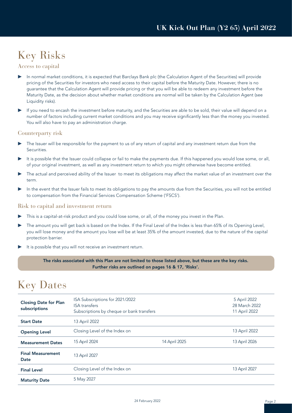### Key Risks

#### Access to capital

- In normal market conditions, it is expected that Barclays Bank plc (the Calculation Agent of the Securities) will provide pricing of the Securities for investors who need access to their capital before the Maturity Date. However, there is no guarantee that the Calculation Agent will provide pricing or that you will be able to redeem any investment before the Maturity Date, as the decision about whether market conditions are normal will be taken by the Calculation Agent (see Liquidity risks).
- ▶ If you need to encash the investment before maturity, and the Securities are able to be sold, their value will depend on a number of factors including current market conditions and you may receive significantly less than the money you invested. You will also have to pay an administration charge.

#### Counterparty risk

- The Issuer will be responsible for the payment to us of any return of capital and any investment return due from the Securities.
- It is possible that the Issuer could collapse or fail to make the payments due. If this happened you would lose some, or all, of your original investment, as well as any investment return to which you might otherwise have become entitled.
- ▶ The actual and perceived ability of the Issuer to meet its obligations may affect the market value of an investment over the term.
- ▶ In the event that the Issuer fails to meet its obligations to pay the amounts due from the Securities, you will not be entitled to compensation from the Financial Services Compensation Scheme ('FSCS').

#### Risk to capital and investment return

- This is a capital-at-risk product and you could lose some, or all, of the money you invest in the Plan.
- The amount you will get back is based on the Index. If the Final Level of the Index is less than 65% of its Opening Level, you will lose money and the amount you lose will be at least 35% of the amount invested, due to the nature of the capital protection barrier.
- It is possible that you will not receive an investment return.

The risks associated with this Plan are not limited to those listed above, but these are the key risks. Further risks are outlined on pages 16 & 17, 'Risks'.

### Key Dates

| <b>Closing Date for Plan</b><br>subscriptions | ISA Subscriptions for 2021/2022<br><b>ISA</b> transfers<br>Subscriptions by cheque or bank transfers |               | 5 April 2022<br>28 March 2022<br>11 April 2022 |
|-----------------------------------------------|------------------------------------------------------------------------------------------------------|---------------|------------------------------------------------|
| <b>Start Date</b>                             | 13 April 2022                                                                                        |               |                                                |
| <b>Opening Level</b>                          | Closing Level of the Index on                                                                        |               | 13 April 2022                                  |
| <b>Measurement Dates</b>                      | 15 April 2024                                                                                        | 14 April 2025 | 13 April 2026                                  |
| <b>Final Measurement</b><br>Date              | 13 April 2027                                                                                        |               |                                                |
| <b>Final Level</b>                            | Closing Level of the Index on                                                                        |               | 13 April 2027                                  |
| <b>Maturity Date</b>                          | 5 May 2027                                                                                           |               |                                                |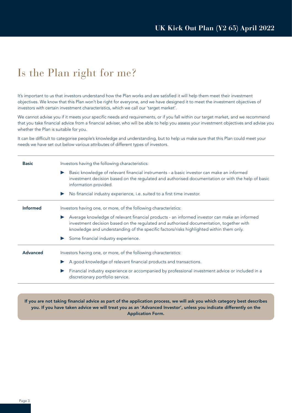### Is the Plan right for me?

It's important to us that investors understand how the Plan works and are satisfied it will help them meet their investment objectives. We know that this Plan won't be right for everyone, and we have designed it to meet the investment objectives of investors with certain investment characteristics, which we call our 'target market'.

We cannot advise you if it meets your specific needs and requirements, or if you fall within our target market, and we recommend that you take financial advice from a financial adviser, who will be able to help you assess your investment objectives and advise you whether the Plan is suitable for you.

It can be difficult to categorise people's knowledge and understanding, but to help us make sure that this Plan could meet your needs we have set out below various attributes of different types of investors.

| <b>Basic</b>    | Investors having the following characteristics:                                                                                                                                                                                                                                                            |
|-----------------|------------------------------------------------------------------------------------------------------------------------------------------------------------------------------------------------------------------------------------------------------------------------------------------------------------|
|                 | Basic knowledge of relevant financial instruments - a basic investor can make an informed<br>$\blacktriangleright$<br>investment decision based on the regulated and authorised documentation or with the help of basic<br>information provided.                                                           |
|                 | No financial industry experience, i.e. suited to a first time investor.<br>$\blacktriangleright$                                                                                                                                                                                                           |
| <b>Informed</b> | Investors having one, or more, of the following characteristics:                                                                                                                                                                                                                                           |
|                 | Average knowledge of relevant financial products - an informed investor can make an informed<br>$\blacktriangleright$<br>investment decision based on the regulated and authorised documentation, together with<br>knowledge and understanding of the specific factors/risks highlighted within them only. |
|                 | Some financial industry experience.                                                                                                                                                                                                                                                                        |
| <b>Advanced</b> | Investors having one, or more, of the following characteristics:                                                                                                                                                                                                                                           |
|                 | A good knowledge of relevant financial products and transactions.                                                                                                                                                                                                                                          |
|                 | Financial industry experience or accompanied by professional investment advice or included in a<br>discretionary portfolio service.                                                                                                                                                                        |
|                 |                                                                                                                                                                                                                                                                                                            |

If you are not taking financial advice as part of the application process, we will ask you which category best describes you. If you have taken advice we will treat you as an 'Advanced Investor', unless you indicate differently on the Application Form.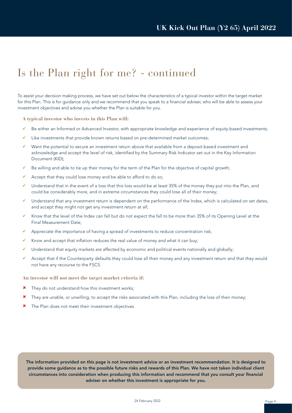### Is the Plan right for me? - continued

To assist your decision making process, we have set out below the characteristics of a typical investor within the target market for this Plan. This is for guidance only and we recommend that you speak to a financial adviser, who will be able to assess your investment objectives and advise you whether the Plan is suitable for you.

#### **A typical investor who invests in this Plan will:**

- Be either an Informed or Advanced Investor, with appropriate knowledge and experience of equity-based investments;
- Like investments that provide known returns based on pre-determined market outcomes;
- $\checkmark$  Want the potential to secure an investment return above that available from a deposit-based investment and acknowledge and accept the level of risk, identified by the Summary Risk Indicator set out in the Key Information Document (KID);
- Be willing and able to tie up their money for the term of the Plan for the objective of capital growth;
- $\checkmark$  Accept that they could lose money and be able to afford to do so;
- $\checkmark$  Understand that in the event of a loss that this loss would be at least 35% of the money they put into the Plan, and could be considerably more, and in extreme circumstances they could lose all of their money;
- Understand that any investment return is dependent on the performance of the Index, which is calculated on set dates, and accept they might not get any investment return at all;
- Know that the level of the Index can fall but do not expect the fall to be more than 35% of its Opening Level at the Final Measurement Date;
- Appreciate the importance of having a spread of investments to reduce concentration risk;
- Know and accept that inflation reduces the real value of money and what it can buy;
- Understand that equity markets are affected by economic and political events nationally and globally;
- $\checkmark$  Accept that if the Counterparty defaults they could lose all their money and any investment return and that they would not have any recourse to the FSCS.

#### **An investor will not meet the target market criteria if:**

- $x$  They do not understand how this investment works;
- \* They are unable, or unwilling, to accept the risks associated with this Plan, including the loss of their money;
- \* The Plan does not meet their investment objectives.

The information provided on this page is not investment advice or an investment recommendation. It is designed to provide some guidance as to the possible future risks and rewards of this Plan. We have not taken individual client circumstances into consideration when producing this information and recommend that you consult your financial adviser on whether this investment is appropriate for you.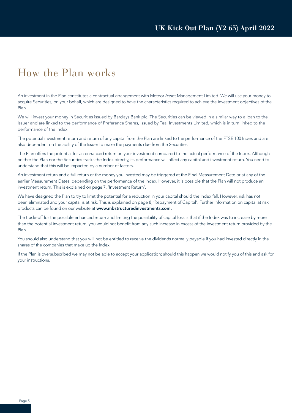### How the Plan works

An investment in the Plan constitutes a contractual arrangement with Meteor Asset Management Limited. We will use your money to acquire Securities, on your behalf, which are designed to have the characteristics required to achieve the investment objectives of the Plan.

We will invest your money in Securities issued by Barclays Bank plc. The Securities can be viewed in a similar way to a loan to the Issuer and are linked to the performance of Preference Shares, issued by Teal Investments Limited, which is in turn linked to the performance of the Index.

The potential investment return and return of any capital from the Plan are linked to the performance of the FTSE 100 Index and are also dependent on the ability of the Issuer to make the payments due from the Securities.

The Plan offers the potential for an enhanced return on your investment compared to the actual performance of the Index. Although neither the Plan nor the Securities tracks the Index directly, its performance will affect any capital and investment return. You need to understand that this will be impacted by a number of factors.

An investment return and a full return of the money you invested may be triggered at the Final Measurement Date or at any of the earlier Measurement Dates, depending on the performance of the Index. However, it is possible that the Plan will not produce an investment return. This is explained on page 7, 'Investment Return'.

We have designed the Plan to try to limit the potential for a reduction in your capital should the Index fall. However, risk has not been eliminated and your capital is at risk. This is explained on page 8, 'Repayment of Capital'. Further information on capital at risk products can be found on our website at www.mbstructuredinvestments.com.

The trade-off for the possible enhanced return and limiting the possibility of capital loss is that if the Index was to increase by more than the potential investment return, you would not benefit from any such increase in excess of the investment return provided by the Plan.

You should also understand that you will not be entitled to receive the dividends normally payable if you had invested directly in the shares of the companies that make up the Index.

If the Plan is oversubscribed we may not be able to accept your application; should this happen we would notify you of this and ask for your instructions.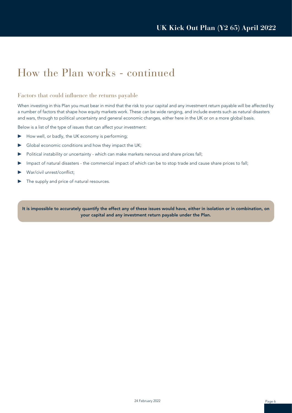### How the Plan works - continued

#### Factors that could influence the returns payable

When investing in this Plan you must bear in mind that the risk to your capital and any investment return payable will be affected by a number of factors that shape how equity markets work. These can be wide ranging, and include events such as natural disasters and wars, through to political uncertainty and general economic changes, either here in the UK or on a more global basis.

Below is a list of the type of issues that can affect your investment:

- ▶ How well, or badly, the UK economy is performing;
- ▶ Global economic conditions and how they impact the UK;
- ▶ Political instability or uncertainty which can make markets nervous and share prices fall;
- ▶ Impact of natural disasters the commercial impact of which can be to stop trade and cause share prices to fall;
- War/civil unrest/conflict;
- The supply and price of natural resources.

It is impossible to accurately quantify the effect any of these issues would have, either in isolation or in combination, on your capital and any investment return payable under the Plan.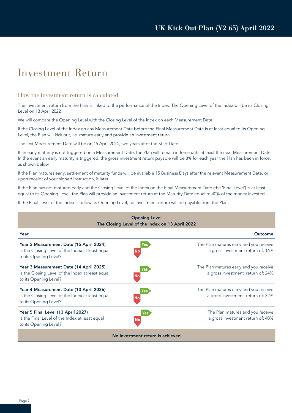### Investment Return

#### How the investment return is calculated

The investment return from the Plan is linked to the performance of the Index. The Opening Level of the Index will be its Closing Level on 13 April 2022

We will compare the Opening Level with the Closing Level of the Index on each Measurement Date.

If the Closing Level of the Index on any Measurement Date before the Final Measurement Date is at least equal to its Opening Level, the Plan will kick out, i.e. mature early and provide an investment return.

The first Measurement Date will be on 15 April 2024, two years after the Start Date.

If an early maturity is not triggered on a Measurement Date, the Plan will remain in force until at least the next Measurement Date. In the event an early maturity is triggered, the gross investment return payable will be 8% for each year the Plan has been in force, as shown below.

If the Plan matures early, settlement of maturity funds will be available 15 Business Days after the relevant Measurement Date, or upon receipt of your signed instruction, if later.

If the Plan has not matured early and the Closing Level of the Index on the Final Measurement Date (the 'Final Level') is at least equal to its Opening Level, the Plan will provide an investment return at the Maturity Date equal to 40% of the money invested.

If the Final Level of the Index is below its Opening Level, no investment return will be payable from the Plan.

| <b>Opening Level</b><br>The Closing Level of the Index on 13 April 2022                                              |                         |                                                                             |  |  |
|----------------------------------------------------------------------------------------------------------------------|-------------------------|-----------------------------------------------------------------------------|--|--|
| Year                                                                                                                 |                         | Outcome                                                                     |  |  |
| Year 2 Measurement Date (15 April 2024)<br>Is the Closing Level of the Index at least equal<br>to its Opening Level? | Νo                      | The Plan matures early and you receive<br>a gross investment return of: 16% |  |  |
| Year 3 Measurement Date (14 April 2025)<br>Is the Closing Level of the Index at least equal<br>to its Opening Level? | Yes<br><b>No</b>        | The Plan matures early and you receive<br>a gross investment return of: 24% |  |  |
| Year 4 Measurement Date (13 April 2026)<br>Is the Closing Level of the Index at least equal<br>to its Opening Level? | Yes<br><b>No</b>        | The Plan matures early and you receive<br>a gross investment return of: 32% |  |  |
| Year 5 Final Level (13 April 2027)<br>Is the Final Level of the Index at least equal<br>to its Opening Level?        | <b>Yes</b><br><b>No</b> | The Plan matures and you receive<br>a gross investment return of: 40%       |  |  |
| No investment return is achieved                                                                                     |                         |                                                                             |  |  |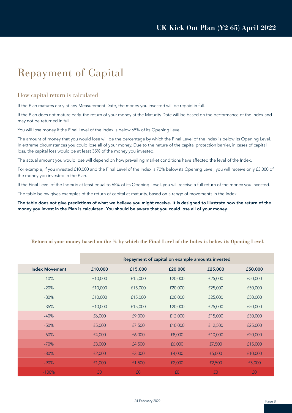### Repayment of Capital

#### How capital return is calculated

If the Plan matures early at any Measurement Date, the money you invested will be repaid in full.

If the Plan does not mature early, the return of your money at the Maturity Date will be based on the performance of the Index and may not be returned in full.

You will lose money if the Final Level of the Index is below 65% of its Opening Level.

The amount of money that you would lose will be the percentage by which the Final Level of the Index is below its Opening Level. In extreme circumstances you could lose all of your money. Due to the nature of the capital protection barrier, in cases of capital loss, the capital loss would be at least 35% of the money you invested.

The actual amount you would lose will depend on how prevailing market conditions have affected the level of the Index.

For example, if you invested £10,000 and the Final Level of the Index is 70% below its Opening Level, you will receive only £3,000 of the money you invested in the Plan.

If the Final Level of the Index is at least equal to 65% of its Opening Level, you will receive a full return of the money you invested.

The table below gives examples of the return of capital at maturity, based on a range of movements in the Index.

The table does not give predictions of what we believe you might receive. It is designed to illustrate how the return of the money you invest in the Plan is calculated. You should be aware that you could lose all of your money.

|                       | Repayment of capital on example amounts invested |         |         |         |         |
|-----------------------|--------------------------------------------------|---------|---------|---------|---------|
| <b>Index Movement</b> | £10,000                                          | £15,000 | £20,000 | £25,000 | £50,000 |
| $-10%$                | £10,000                                          | £15,000 | £20,000 | £25,000 | £50,000 |
| $-20%$                | £10,000                                          | £15,000 | £20,000 | £25,000 | £50,000 |
| $-30%$                | £10,000                                          | £15,000 | £20,000 | £25,000 | £50,000 |
| $-35%$                | £10,000                                          | £15,000 | £20,000 | £25,000 | £50,000 |
| $-40%$                | £6,000                                           | £9,000  | £12,000 | £15,000 | £30,000 |
| $-50%$                | £5,000                                           | £7,500  | £10,000 | £12,500 | £25,000 |
| $-60%$                | £4,000                                           | £6,000  | £8,000  | £10,000 | £20,000 |
| $-70%$                | £3,000                                           | £4,500  | £6,000  | £7,500  | £15,000 |
| $-80%$                | £2,000                                           | £3,000  | £4,000  | £5,000  | £10,000 |
| $-90%$                | £1,000                                           | f1,500  | £2,000  | £2,500  | £5,000  |
| $-100%$               | £0                                               | £0      | £0      | £0      | £0      |

#### **Return of your money based on the % by which the Final Level of the Index is below its Opening Level.**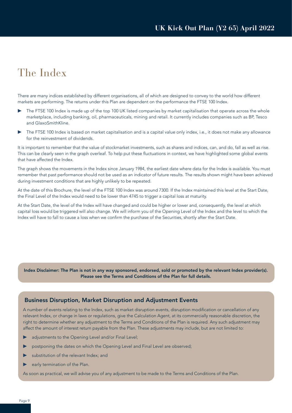### The Index

There are many indices established by different organisations, all of which are designed to convey to the world how different markets are performing. The returns under this Plan are dependent on the performance the FTSE 100 Index.

- The FTSE 100 Index is made up of the top 100 UK listed companies by market capitalisation that operate across the whole marketplace, including banking, oil, pharmaceuticals, mining and retail. It currently includes companies such as BP, Tesco and GlaxoSmithKline.
- The FTSE 100 Index is based on market capitalisation and is a capital value only index, i.e., it does not make any allowance for the reinvestment of dividends.

It is important to remember that the value of stockmarket investments, such as shares and indices, can, and do, fall as well as rise. This can be clearly seen in the graph overleaf. To help put these fluctuations in context, we have highlighted some global events that have affected the Index.

The graph shows the movements in the Index since January 1984, the earliest date where data for the Index is available. You must remember that past performance should not be used as an indicator of future results. The results shown might have been achieved during investment conditions that are highly unlikely to be repeated.

At the date of this Brochure, the level of the FTSE 100 Index was around 7300. If the Index maintained this level at the Start Date, the Final Level of the Index would need to be lower than 4745 to trigger a capital loss at maturity.

At the Start Date, the level of the Index will have changed and could be higher or lower and, consequently, the level at which capital loss would be triggered will also change. We will inform you of the Opening Level of the Index and the level to which the Index will have to fall to cause a loss when we confirm the purchase of the Securities, shortly after the Start Date.

Index Disclaimer: The Plan is not in any way sponsored, endorsed, sold or promoted by the relevant Index provider(s). Please see the Terms and Conditions of the Plan for full details.

#### Business Disruption, Market Disruption and Adjustment Events

A number of events relating to the Index, such as market disruption events, disruption modification or cancellation of any relevant Index, or change in laws or regulations, give the Calculation Agent, at its commercially reasonable discretion, the right to determine whether any adjustment to the Terms and Conditions of the Plan is required. Any such adjustment may affect the amount of interest return payable from the Plan. These adjustments may include, but are not limited to:

- adjustments to the Opening Level and/or Final Level;
- postponing the dates on which the Opening Level and Final Level are observed;
- substitution of the relevant Index; and
- early termination of the Plan.

As soon as practical, we will advise you of any adjustment to be made to the Terms and Conditions of the Plan.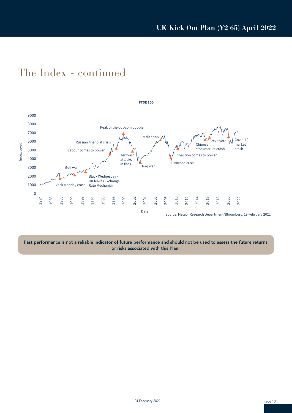### The Index - continued



Past performance is not a reliable indicator of future performance and should not be used to assess the future returns or risks associated with this Plan.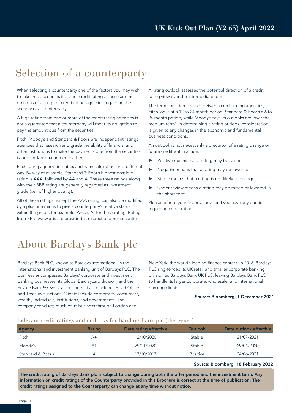### Selection of a counterparty

When selecting a counterparty one of the factors you may wish to take into account is its issuer credit ratings. These are the opinions of a range of credit rating agencies regarding the security of a counterparty.

A high rating from one or more of the credit rating agencies is not a guarantee that a counterparty will meet its obligation to pay the amount due from the securities.

Fitch, Moody's and Standard & Poor's are independent ratings agencies that research and grade the ability of financial and other institutions to make the payments due from the securities issued and/or guaranteed by them.

Each rating agency describes and names its ratings in a different way. By way of example, Standard & Poor's highest possible rating is AAA, followed by AA and A. These three ratings along with their BBB rating are generally regarded as investment grade (i.e., of higher quality).

All of these ratings, except the AAA rating, can also be modified by a plus or a minus to give a counterparty's relative status within the grade; for example, A+, A, A- for the A rating. Ratings from BB downwards are provided in respect of other securities.

About Barclays Bank plc

Barclays Bank PLC, known as Barclays International, is the international and investment banking unit of Barclays PLC. The business encompasses Barclays' corporate and investment banking businesses, its Global Barclaycard division, and the Private Bank & Overseas business. It also includes Head Office and Treasury functions. Clients include corporates, consumers, wealthy individuals, institutions, and governments. The company conducts much of its business through London and

A rating outlook assesses the potential direction of a credit rating view over the intermediate term.

The term considered varies between credit rating agencies; Fitch looks at a 12 to 24 month period, Standard & Poor's a 6 to 24 month period, while Moody's says its outlooks are 'over the medium term'. In determining a rating outlook, consideration is given to any changes in the economic and fundamental business conditions.

An outlook is not necessarily a precursor of a rating change or future credit watch action.

- Positive means that a rating may be raised.
- Negative means that a rating may be lowered.
- Stable means that a rating is not likely to change.
- Under review means a rating may be raised or lowered in the short term.

Please refer to your financial adviser if you have any queries regarding credit ratings.

New York, the world's leading finance centers. In 2018, Barclays PLC ring-fenced its UK retail and smaller corporate banking division as Barclays Bank UK PLC, leaving Barclays Bank PLC to handle its larger corporate, wholesale, and international banking clients.

#### Source: Bloomberg, 1 December 2021

#### Relevant credit ratings and outlooks for Barclays Bank plc (the Issuer)

| <b>Agency</b>     | <b>Rating</b> | Date rating effective | Outlook  | Date outlook effective |
|-------------------|---------------|-----------------------|----------|------------------------|
| Fitch             | A+            | 12/10/2020            | Stable   | 21/07/2021             |
| Moody's           | Α1            | 29/01/2020            | Stable   | 29/01/2020             |
| Standard & Poor's |               | 17/10/2017            | Positive | 24/06/2021             |

#### Source: Bloomberg, 18 February 2022

The credit rating of Barclays Bank plc is subject to change during both the offer period and the investment term. Any information on credit ratings of the Counterparty provided in this Brochure is correct at the time of publication. The credit ratings assigned to the Counterparty can change at any time without notice.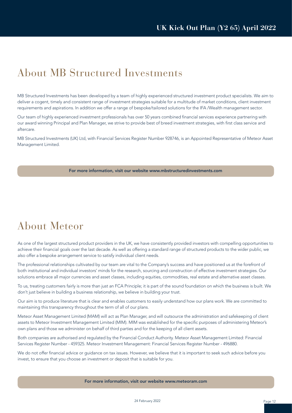### About MB Structured Investments

MB Structured Investments has been developed by a team of highly experienced structured investment product specialists. We aim to deliver a cogent, timely and consistent range of investment strategies suitable for a multitude of market conditions, client investment requirements and aspirations. In addition we offer a range of bespoke/tailored solutions for the IFA /Wealth management sector.

Our team of highly experienced investment professionals has over 50 years combined financial services experience partnering with our award winning Principal and Plan Manager, we strive to provide best of breed investment strategies, with first class service and aftercare.

MB Structured Investments (UK) Ltd, with Financial Services Register Number 928746, is an Appointed Representative of Meteor Asset Management Limited.

#### For more information, visit our website www.mbstructuredinvestments.com

### About Meteor

As one of the largest structured product providers in the UK, we have consistently provided investors with compelling opportunities to achieve their financial goals over the last decade. As well as offering a standard range of structured products to the wider public, we also offer a bespoke arrangement service to satisfy individual client needs.

The professional relationships cultivated by our team are vital to the Company's success and have positioned us at the forefront of both institutional and individual investors' minds for the research, sourcing and construction of effective investment strategies. Our solutions embrace all major currencies and asset classes, including equities, commodities, real estate and alternative asset classes.

To us, treating customers fairly is more than just an FCA Principle; it is part of the sound foundation on which the business is built. We don't just believe in building a business relationship, we believe in building your trust.

Our aim is to produce literature that is clear and enables customers to easily understand how our plans work. We are committed to maintaining this transparency throughout the term of all of our plans.

Meteor Asset Management Limited (MAM) will act as Plan Manager, and will outsource the administration and safekeeping of client assets to Meteor Investment Management Limited (MIM). MIM was established for the specific purposes of administering Meteor's own plans and those we administer on behalf of third parties and for the keeping of all client assets.

Both companies are authorised and regulated by the Financial Conduct Authority. Meteor Asset Management Limited: Financial Services Register Number - 459325. Meteor Investment Management: Financial Services Register Number - 496880.

We do not offer financial advice or guidance on tax issues. However, we believe that it is important to seek such advice before you invest, to ensure that you choose an investment or deposit that is suitable for you.

For more information, visit our website www.meteoram.com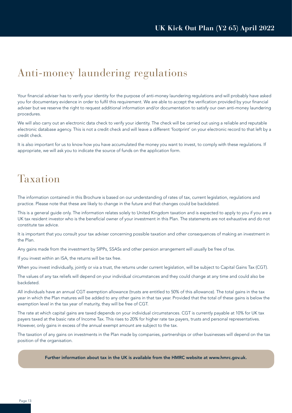### Anti-money laundering regulations

Your financial adviser has to verify your identity for the purpose of anti-money laundering regulations and will probably have asked you for documentary evidence in order to fulfil this requirement. We are able to accept the verification provided by your financial adviser but we reserve the right to request additional information and/or documentation to satisfy our own anti-money laundering procedures.

We will also carry out an electronic data check to verify your identity. The check will be carried out using a reliable and reputable electronic database agency. This is not a credit check and will leave a different 'footprint' on your electronic record to that left by a credit check.

It is also important for us to know how you have accumulated the money you want to invest, to comply with these regulations. If appropriate, we will ask you to indicate the source of funds on the application form.

### Taxation

The information contained in this Brochure is based on our understanding of rates of tax, current legislation, regulations and practice. Please note that these are likely to change in the future and that changes could be backdated.

This is a general guide only. The information relates solely to United Kingdom taxation and is expected to apply to you if you are a UK tax resident investor who is the beneficial owner of your investment in this Plan. The statements are not exhaustive and do not constitute tax advice.

It is important that you consult your tax adviser concerning possible taxation and other consequences of making an investment in the Plan.

Any gains made from the investment by SIPPs, SSASs and other pension arrangement will usually be free of tax.

If you invest within an ISA, the returns will be tax free.

When you invest individually, jointly or via a trust, the returns under current legislation, will be subject to Capital Gains Tax (CGT).

The values of any tax reliefs will depend on your individual circumstances and they could change at any time and could also be backdated.

All individuals have an annual CGT exemption allowance (trusts are entitled to 50% of this allowance). The total gains in the tax year in which the Plan matures will be added to any other gains in that tax year. Provided that the total of these gains is below the exemption level in the tax year of maturity, they will be free of CGT.

The rate at which capital gains are taxed depends on your individual circumstances. CGT is currently payable at 10% for UK tax payers taxed at the basic rate of Income Tax. This rises to 20% for higher rate tax payers, trusts and personal representatives. However, only gains in excess of the annual exempt amount are subject to the tax.

The taxation of any gains on investments in the Plan made by companies, partnerships or other businesses will depend on the tax position of the organisation.

Further information about tax in the UK is available from the HMRC website at www.hmrc.gov.uk.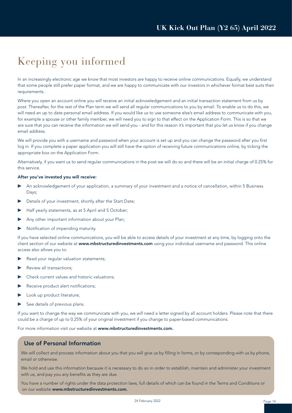### Keeping you informed

In an increasingly electronic age we know that most investors are happy to receive online communications. Equally, we understand that some people still prefer paper format, and we are happy to communicate with our investors in whichever format best suits their requirements.

Where you open an account online you will receive an initial acknowledgement and an initial transaction statement from us by post. Thereafter, for the rest of the Plan term we will send all regular communications to you by email. To enable us to do this, we will need an up to date personal email address. If you would like us to use someone else's email address to communicate with you, for example a spouse or other family member, we will need you to sign to that effect on the Application Form. This is so that we are sure that you can receive the information we will send you - and for this reason it's important that you let us know if you change email address.

We will provide you with a username and password when your account is set up and you can change the password after you first log in. If you complete a paper application you will still have the option of receiving future communications online, by ticking the appropriate box on the Application Form.

Alternatively, if you want us to send regular communications in the post we will do so and there will be an initial charge of 0.25% for this service.

#### After you've invested you will receive:

- An acknowledgement of your application, a summary of your investment and a notice of cancellation, within 5 Business Days;
- Details of your investment, shortly after the Start Date;
- Half yearly statements, as at 5 April and 5 October;
- Any other important information about your Plan;
- ▶ Notification of impending maturity.

If you have selected online communications, you will be able to access details of your investment at any time, by logging onto the client section of our website at www.mbstructuredinvestments.com using your individual username and password. This online access also allows you to:

- Read your regular valuation statements;
- Review all transactions;
- Check current values and historic valuations:
- Receive product alert notifications;
- Look up product literature;
- See details of previous plans.

If you want to change the way we communicate with you, we will need a letter signed by all account holders. Please note that there could be a charge of up to 0.25% of your original investment if you change to paper-based communications.

For more information visit our website at www.mbstructuredinvestments.com.

#### Use of Personal Information

We will collect and process information about you that you will give us by filling in forms, or by corresponding with us by phone, email or otherwise.

We hold and use this information because it is necessary to do so in order to establish, maintain and administer your investment with us, and pay you any benefits as they are due.

You have a number of rights under the data protection laws, full details of which can be found in the Terms and Conditions or on our website www.mbstructuredinvestments.com.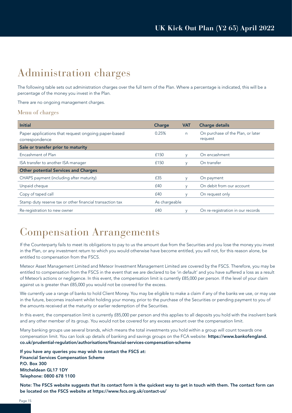### Administration charges

The following table sets out administration charges over the full term of the Plan. Where a percentage is indicated, this will be a percentage of the money you invest in the Plan.

There are no ongoing management charges.

#### Menu of charges

| <b>Initial</b>                                                        | Charge        | <b>VAT</b> | <b>Charge details</b>                        |
|-----------------------------------------------------------------------|---------------|------------|----------------------------------------------|
| Paper applications that request ongoing paper-based<br>correspondence | 0.25%         | n          | On purchase of the Plan, or later<br>request |
| Sale or transfer prior to maturity                                    |               |            |                                              |
| Encashment of Plan                                                    | £150          | V          | On encashment                                |
| ISA transfer to another ISA manager                                   | £150          | V          | On transfer                                  |
| <b>Other potential Services and Charges</b>                           |               |            |                                              |
| CHAPS payment (including after maturity)                              | £35           | $\vee$     | On payment                                   |
| Unpaid cheque                                                         | £40           |            | On debit from our account                    |
| Copy of taped call                                                    | £40           |            | On request only                              |
| Stamp duty reserve tax or other financial transaction tax             | As chargeable |            |                                              |
| Re-registration to new owner                                          | £40           |            | On re-registration in our records            |

### Compensation Arrangements

If the Counterparty fails to meet its obligations to pay to us the amount due from the Securities and you lose the money you invest in the Plan, or any investment return to which you would otherwise have become entitled, you will not, for this reason alone, be entitled to compensation from the FSCS.

Meteor Asset Management Limited and Meteor Investment Management Limited are covered by the FSCS. Therefore, you may be entitled to compensation from the FSCS in the event that we are declared to be 'in default' and you have suffered a loss as a result of Meteor's actions or negligence. In this event, the compensation limit is currently £85,000 per person. If the level of your claim against us is greater than £85,000 you would not be covered for the excess.

We currently use a range of banks to hold Client Money. You may be eligible to make a claim if any of the banks we use, or may use in the future, becomes insolvent whilst holding your money, prior to the purchase of the Securities or pending payment to you of the amounts received at the maturity or earlier redemption of the Securities.

In this event, the compensation limit is currently £85,000 per person and this applies to all deposits you hold with the insolvent bank and any other member of its group. You would not be covered for any excess amount over the compensation limit.

Many banking groups use several brands, which means the total investments you hold within a group will count towards one compensation limit. You can look up details of banking and savings groups on the FCA website: https://www.bankofengland. co.uk/prudential-regulation/authorisations/financial-services-compensation-scheme

If you have any queries you may wish to contact the FSCS at: Financial Services Compensation Scheme P.O. Box 300 Mitcheldean GL17 1DY Telephone: 0800 678 1100

Note: The FSCS website suggests that its contact form is the quickest way to get in touch with them. The contact form can be located on the FSCS website at https://www.fscs.org.uk/contact-us/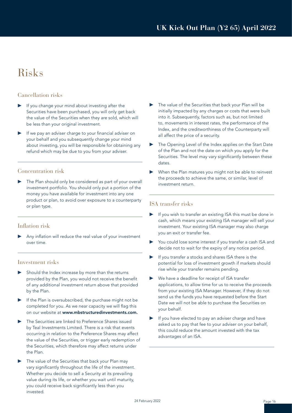### Risks

#### Cancellation risks

- If you change your mind about investing after the Securities have been purchased, you will only get back the value of the Securities when they are sold, which will be less than your original investment.
- If we pay an adviser charge to your financial adviser on your behalf and you subsequently change your mind about investing, you will be responsible for obtaining any refund which may be due to you from your adviser.

#### Concentration risk

The Plan should only be considered as part of your overall investment portfolio. You should only put a portion of the money you have available for investment into any one product or plan, to avoid over exposure to a counterparty or plan type.

#### Inflation risk

Any inflation will reduce the real value of your investment over time.

#### Investment risks

- Should the Index increase by more than the returns provided by the Plan, you would not receive the benefit of any additional investment return above that provided by the Plan.
- If the Plan is oversubscribed, the purchase might not be completed for you. As we near capacity we will flag this on our website at www.mbstructuredinvestments.com.
- ▶ The Securities are linked to Preference Shares issued by Teal Investments Limited. There is a risk that events occurring in relation to the Preference Shares may affect the value of the Securities, or trigger early redemption of the Securities, which therefore may affect returns under the Plan.
- The value of the Securities that back your Plan may vary significantly throughout the life of the investment. Whether you decide to sell a Security at its prevailing value during its life, or whether you wait until maturity, you could receive back significantly less than you invested.
- The value of the Securities that back your Plan will be initially impacted by any charges or costs that were built into it. Subsequently, factors such as, but not limited to, movements in interest rates, the performance of the Index, and the creditworthiness of the Counterparty will all affect the price of a security.
- The Opening Level of the Index applies on the Start Date of the Plan and not the date on which you apply for the Securities. The level may vary significantly between these dates.
- When the Plan matures you might not be able to reinvest the proceeds to achieve the same, or similar, level of investment return.

#### ISA transfer risks

- If you wish to transfer an existing ISA this must be done in cash, which means your existing ISA manager will sell your investment. Your existing ISA manager may also charge you an exit or transfer fee.
- You could lose some interest if you transfer a cash ISA and decide not to wait for the expiry of any notice period.
- If you transfer a stocks and shares ISA there is the potential for loss of investment growth if markets should rise while your transfer remains pending.
- ▶ We have a deadline for receipt of ISA transfer applications, to allow time for us to receive the proceeds from your existing ISA Manager. However, if they do not send us the funds you have requested before the Start Date we will not be able to purchase the Securities on your behalf.
- If you have elected to pay an adviser charge and have asked us to pay that fee to your adviser on your behalf, this could reduce the amount invested with the tax advantages of an ISA.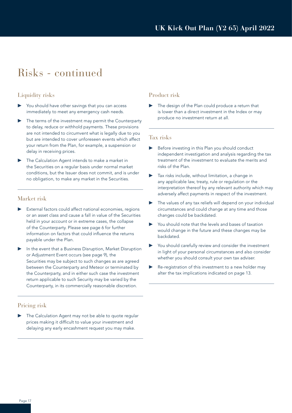### Risks - continued

#### Liquidity risks

- You should have other savings that you can access immediately to meet any emergency cash needs.
- The terms of the investment may permit the Counterparty to delay, reduce or withhold payments. These provisions are not intended to circumvent what is legally due to you but are intended to cover unforeseen events which affect your return from the Plan, for example, a suspension or delay in receiving prices.
- The Calculation Agent intends to make a market in the Securities on a regular basis under normal market conditions, but the Issuer does not commit, and is under no obligation, to make any market in the Securities.

#### Market risk

- External factors could affect national economies, regions or an asset class and cause a fall in value of the Securities held in your account or in extreme cases, the collapse of the Counterparty. Please see page 6 for further information on factors that could influence the returns payable under the Plan.
- In the event that a Business Disruption, Market Disruption or Adjustment Event occurs (see page 9), the Securities may be subject to such changes as are agreed between the Counterparty and Meteor or terminated by the Counterparty, and in either such case the investment return applicable to such Security may be varied by the Counterparty, in its commercially reasonable discretion.

#### Pricing risk

The Calculation Agent may not be able to quote regular prices making it difficult to value your investment and delaying any early encashment request you may make.

#### Product risk

The design of the Plan could produce a return that is lower than a direct investment in the Index or may produce no investment return at all.

#### Tax risks

- Before investing in this Plan you should conduct independent investigation and analysis regarding the tax treatment of the investment to evaluate the merits and risks of the Plan.
- Tax risks include, without limitation, a change in any applicable law, treaty, rule or regulation or the interpretation thereof by any relevant authority which may adversely affect payments in respect of the investment.
- ▶ The values of any tax reliefs will depend on your individual circumstances and could change at any time and those changes could be backdated.
- You should note that the levels and bases of taxation would change in the future and these changes may be backdated.
- ▶ You should carefully review and consider the investment in light of your personal circumstances and also consider whether you should consult your own tax adviser.
- Re-registration of this investment to a new holder may alter the tax implications indicated on page 13.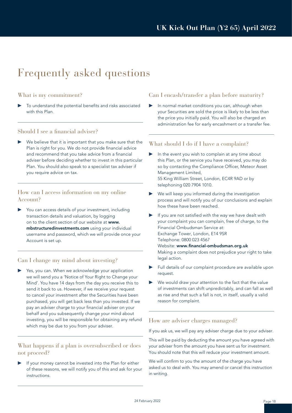### Frequently asked questions

#### What is my commitment?

To understand the potential benefits and risks associated with this Plan.

#### Should I see a financial adviser?

We believe that it is important that you make sure that the Plan is right for you. We do not provide financial advice and recommend that you take advice from a financial adviser before deciding whether to invest in this particular Plan. You should also speak to a specialist tax adviser if you require advice on tax.

#### How can I access information on my online Account?

You can access details of your investment, including transaction details and valuation, by logging on to the client section of our website at www. mbstructuredinvestments.com using your individual username and password, which we will provide once your Account is set up.

#### Can I change my mind about investing?

Yes, you can. When we acknowledge your application we will send you a 'Notice of Your Right to Change your Mind'. You have 14 days from the day you receive this to send it back to us. However, if we receive your request to cancel your investment after the Securities have been purchased, you will get back less than you invested. If we pay an adviser charge to your financial adviser on your behalf and you subsequently change your mind about investing, you will be responsible for obtaining any refund which may be due to you from your adviser.

#### What happens if a plan is oversubscribed or does not proceed?

If your money cannot be invested into the Plan for either of these reasons, we will notify you of this and ask for your instructions.

#### Can I encash/transfer a plan before maturity?

In normal market conditions you can, although when your Securities are sold the price is likely to be less than the price you initially paid. You will also be charged an administration fee for early encashment or a transfer fee.

#### What should I do if I have a complaint?

- In the event you wish to complain at any time about this Plan, or the service you have received, you may do so by contacting the Compliance Officer, Meteor Asset Management Limited, 55 King William Street, London, EC4R 9AD or by telephoning 020 7904 1010.
- We will keep you informed during the investigation process and will notify you of our conclusions and explain how these have been reached.
- If you are not satisfied with the way we have dealt with your complaint you can complain, free of charge, to the Financial Ombudsman Service at: Exchange Tower, London, E14 9SR Telephone: 0800 023 4567 Website: www.financial-ombudsman.org.uk

Making a complaint does not prejudice your right to take legal action.

- Full details of our complaint procedure are available upon request.
- We would draw your attention to the fact that the value of investments can shift unpredictably, and can fall as well as rise and that such a fall is not, in itself, usually a valid reason for complaint.

#### How are adviser charges managed?

If you ask us, we will pay any adviser charge due to your adviser.

This will be paid by deducting the amount you have agreed with your adviser from the amount you have sent us for investment. You should note that this will reduce your investment amount.

We will confirm to you the amount of the charge you have asked us to deal with. You may amend or cancel this instruction in writing.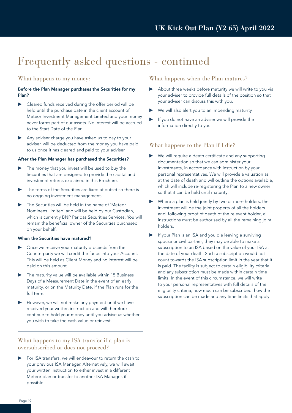### Frequently asked questions - continued

#### What happens to my money:

#### Before the Plan Manager purchases the Securities for my Plan?

- Cleared funds received during the offer period will be held until the purchase date in the client account of Meteor Investment Management Limited and your money never forms part of our assets. No interest will be accrued to the Start Date of the Plan.
- Any adviser charge you have asked us to pay to your adviser, will be deducted from the money you have paid to us once it has cleared and paid to your adviser.

#### After the Plan Manager has purchased the Securities?

- The money that you invest will be used to buy the Securities that are designed to provide the capital and investment returns explained in this Brochure.
- The terms of the Securities are fixed at outset so there is no ongoing investment management.
- The Securities will be held in the name of 'Meteor Nominees Limited' and will be held by our Custodian, which is currently BNP Paribas Securities Services. You will remain the beneficial owner of the Securities purchased on your behalf.

#### When the Securities have matured?

- Once we receive your maturity proceeds from the Counterparty we will credit the funds into your Account. This will be held as Client Money and no interest will be paid on this amount.
- The maturity value will be available within 15 Business Days of a Measurement Date in the event of an early maturity, or on the Maturity Date, if the Plan runs for the full term.
- However, we will not make any payment until we have received your written instruction and will therefore continue to hold your money until you advise us whether you wish to take the cash value or reinvest.

#### What happens to my ISA transfer if a plan is oversubscribed or does not proceed?

For ISA transfers, we will endeavour to return the cash to your previous ISA Manager. Alternatively, we will await your written instruction to either invest in a different Meteor plan or transfer to another ISA Manager, if possible.

#### What happens when the Plan matures?

- About three weeks before maturity we will write to you via your adviser to provide full details of the position so that your adviser can discuss this with you.
- We will also alert you to an impending maturity.
- If you do not have an adviser we will provide the information directly to you.

#### What happens to the Plan if I die?

- We will require a death certificate and any supporting documentation so that we can administer your investments, in accordance with instruction by your personal representatives. We will provide a valuation as at the date of death and will outline the options available, which will include re-registering the Plan to a new owner so that it can be held until maturity.
- ▶ Where a plan is held jointly by two or more holders, the investment will be the joint property of all the holders and, following proof of death of the relevant holder, all instructions must be authorised by all the remaining joint holders.
- If your Plan is an ISA and you die leaving a surviving spouse or civil partner, they may be able to make a subscription to an ISA based on the value of your ISA at the date of your death. Such a subscription would not count towards the ISA subscription limit in the year that it is paid. The facility is subject to certain eligibility criteria and any subscription must be made within certain time limits. In the event of this circumstance, we will write to your personal representatives with full details of the eligibility criteria, how much can be subscribed, how the subscription can be made and any time limits that apply.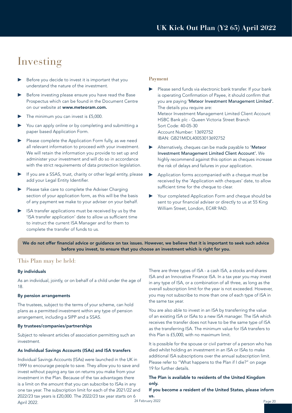### Investing

- ▶ Before you decide to invest it is important that you understand the nature of the investment.
- Before investing please ensure you have read the Base Prospectus which can be found in the Document Centre on our website at www.meteoram.com.
- The minimum you can invest is £5,000.
- You can apply online or by completing and submitting a paper based Application Form.
- ▶ Please complete the Application Form fully, as we need all relevant information to proceed with your investment. We will retain the information you provide to set up and administer your investment and will do so in accordance with the strict requirements of data protection legislation.
- If you are a SSAS, trust, charity or other legal entity, please add your Legal Entity Identifier.
- ▶ Please take care to complete the Adviser Charging section of your application form, as this will be the basis of any payment we make to your adviser on your behalf.
- ISA transfer applications must be received by us by the 'ISA transfer application' date to allow us sufficient time to instruct the current ISA Manager and for them to complete the transfer of funds to us.

#### **Payment**

- Please send funds via electronic bank transfer. If your bank is operating Confirmation of Payee, it should confirm that you are paying 'Meteor Investment Management Limited'. The details you require are: Meteor Investment Management Limited Client Account HSBC Bank plc - Queen Victoria Street Branch Sort Code: 40-05-30 Account Number: 13692752 IBAN: GB21MIDL40053013692752
- Alternatively, cheques can be made payable to 'Meteor Investment Management Limited Client Account'. We highly recommend against this option as cheques increase the risk of delays and failures in your application.
- Application forms accompanied with a cheque must be received by the 'Application with cheques' date, to allow sufficient time for the cheque to clear.
- Your completed Application Form and cheque should be sent to your financial adviser or directly to us at 55 King William Street, London, EC4R 9AD.

We do not offer financial advice or guidance on tax issues. However, we believe that it is important to seek such advice before you invest, to ensure that you choose an investment which is right for you.

#### This Plan may be held:

#### By individuals

As an individual, jointly, or on behalf of a child under the age of 18.

#### By pension arrangements

The trustees, subject to the terms of your scheme, can hold plans as a permitted investment within any type of pension arrangement, including a SIPP and a SSAS.

#### By trustees/companies/partnerships

Subject to relevant articles of association permitting such an investment.

#### As Individual Savings Accounts (ISAs) and ISA transfers

Individual Savings Accounts (ISAs) were launched in the UK in 1999 to encourage people to save. They allow you to save and invest without paying any tax on returns you make from your investment in the Plan. Because of the tax advantages there is a limit on the amount that you can subscribe to ISAs in any one tax year. The subscription limit for each of the 2021/22 and 2022/23 tax years is £20,000. The 2022/23 tax year starts on 6 April 2022.

There are three types of ISA - a cash ISA, a stocks and shares ISA and an Innovative Finance ISA. In a tax year you may invest in any type of ISA, or a combination of all three, as long as the overall subscription limit for the year is not exceeded. However, you may not subscribe to more than one of each type of ISA in the same tax year.

You are also able to invest in an ISA by transferring the value of an existing ISA or ISAs to a new ISA manager. The ISA which receives the transfer does not have to be the same type of ISA as the transferring ISA. The minimum value for ISA transfers to this Plan is £5,000, with no maximum limit.

It is possible for the spouse or civil partner of a person who has died whilst holding an investment in an ISA or ISAs to make additional ISA subscriptions over the annual subscription limit. Please refer to "What happens to the Plan if I die?" on page 19 for further details.

#### The Plan is available to residents of the United Kingdom only.

If you become a resident of the United States, please inform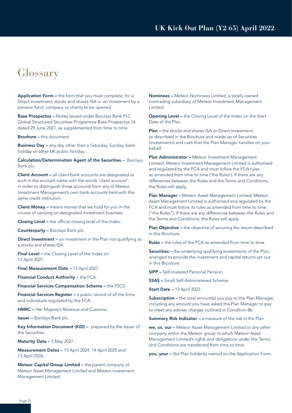### Glossary

Application Form – the form that you must complete, for a Direct Investment, stocks and shares ISA or an investment by a pension fund, company or charity to be opened.

Base Prospectus – Notes issued under Barclays Bank PLC Global Structured Securities Programme Base Prospectus 16 dated 29 June 2021, as supplemented from time to time.

Brochure – this document.

Business Day – any day other than a Saturday, Sunday, bank holiday or other UK public holiday.

Calculation/Determination Agent of the Securities – Barclays Bank plc.

Client Account – all client bank accounts are designated as such in the account name with the words 'client account', in order to distinguish those accounts from any of Meteor Investment Management's own bank accounts held with the same credit institution.

Client Money – means money that we hold for you in the course of carrying on designated investment business.

Closing Level – the official closing level of the Index.

Counterparty – Barclays Bank plc.

Direct Investment – an investment in the Plan not qualifying as a stocks and shares ISA.

Final Level – the Closing Level of the Index on 13 April 2027.

Final Measurement Date – 13 April 2027.

Financial Conduct Authority – the FCA.

Financial Services Compensation Scheme – the FSCS.

Financial Services Register – a public record of all the firms and individuals regulated by the FCA.

HMRC – Her Majesty's Revenue and Customs.

Issuer – Barclays Bank plc.

Key Information Document (KID) – prepared by the Issuer of the Securities.

Maturity Date – 5 May 2027.

Measurement Dates – 15 April 2024, 14 April 2025 and 13 April 2026.

Meteor Capital Group Limited – the parent company of Meteor Asset Management Limited and Meteor Investment Management Limited.

Nominees – Meteor Nominees Limited, a totally owned nontrading subsidiary of Meteor Investment Management Limited.

Opening Level – the Closing Level of the Index on the Start Date of the Plan.

Plan – the stocks and shares ISA or Direct Investment, as described in the Brochure and made up of Securities (investments) and cash that the Plan Manager handles on your behalf.

Plan Administrator - Meteor Investment Management Limited. Meteor Investment Management Limited is authorised and regulated by the FCA and must follow the FCA rules as amended from time to time ('the Rules'). If there are any differences between the Rules and the Terms and Conditions, the Rules will apply.

Plan Manager - Meteor Asset Management Limited. Meteor Asset Management Limited is authorised and regulated by the FCA and must follow its rules as amended from time to time ("the Rules"). If there are any differences between the Rules and the Terms and Conditions, the Rules will apply.

Plan Objective - the objective of securing the return described in this Brochure.

Rules – the rules of the FCA as amended from time to time.

Securities – the underlying qualifying investments of the Plan, arranged to provide the investment and capital returns set out in this Brochure.

SIPP – Self-Invested Personal Pension.

SSAS – Small Self-Administered Scheme.

Start Date – 13 April 2022.

Subscription – the total amount(s) you pay to the Plan Manager, including any amount you have asked the Plan Manager to pay to meet any adviser charges outlined in Condition 8b.

Summary Risk Indicator - a measure of the risk in the Plan.

we, us, our – Meteor Asset Management Limited or any other company within the Meteor group to which Meteor Asset Management Limited's rights and obligations under the Terms and Conditions are transferred from time to time.

you, your – the Plan holder(s) named on the Application Form.